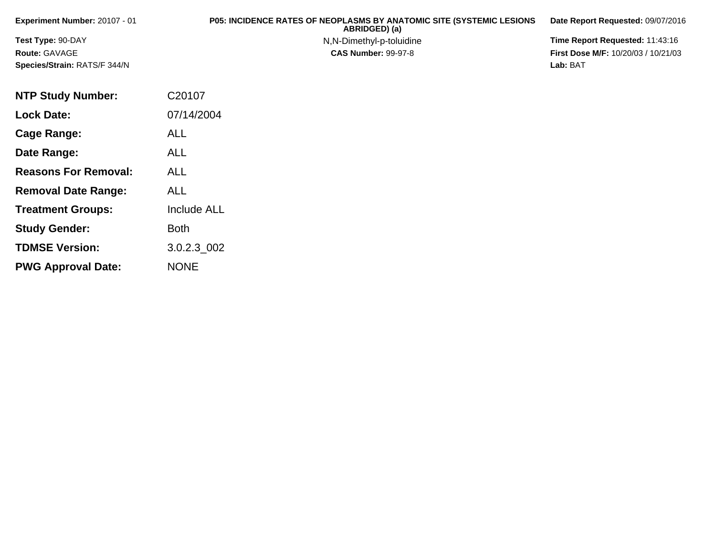| <b>Experiment Number: 20107 - 01</b> | <b>P05: INCIDENCE RATES OF NEOPLASMS BY ANATOMIC SITE (SYSTEMIC LESIONS</b><br>ABRIDGED) (a) | Date Report Requested: 09/07/2016          |
|--------------------------------------|----------------------------------------------------------------------------------------------|--------------------------------------------|
| <b>Test Type: 90-DAY</b>             | N,N-Dimethyl-p-toluidine                                                                     | Time Report Requested: 11:43:16            |
| <b>Route: GAVAGE</b>                 | <b>CAS Number: 99-97-8</b>                                                                   | <b>First Dose M/F: 10/20/03 / 10/21/03</b> |
| <b>Species/Strain: RATS/F 344/N</b>  |                                                                                              | Lab: BAT                                   |

| <b>NTP Study Number:</b>    | C20107             |
|-----------------------------|--------------------|
| <b>Lock Date:</b>           | 07/14/2004         |
| Cage Range:                 | ALL                |
| Date Range:                 | <b>ALL</b>         |
| <b>Reasons For Removal:</b> | ALL                |
| <b>Removal Date Range:</b>  | ALL                |
| <b>Treatment Groups:</b>    | <b>Include ALL</b> |
| <b>Study Gender:</b>        | <b>Both</b>        |
| <b>TDMSE Version:</b>       | 3.0.2.3 002        |
| <b>PWG Approval Date:</b>   | <b>NONE</b>        |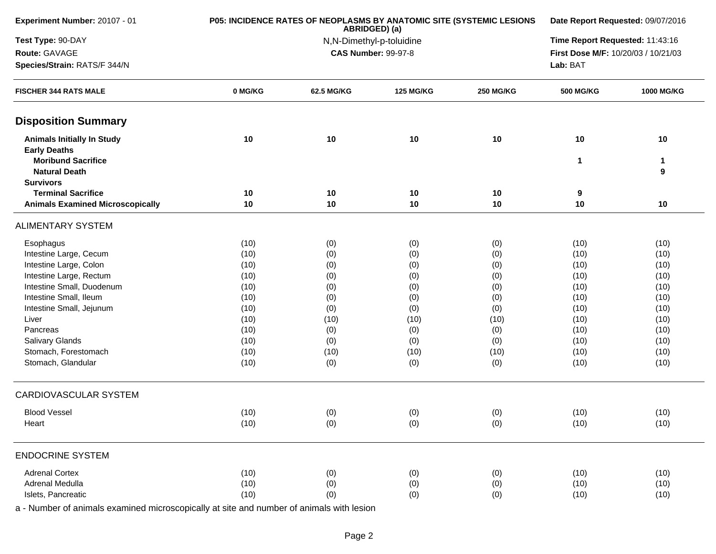| Experiment Number: 20107 - 01                                        |          | P05: INCIDENCE RATES OF NEOPLASMS BY ANATOMIC SITE (SYSTEMIC LESIONS<br>ABRIDGED) (a) | Date Report Requested: 09/07/2016 |                                 |                                     |            |
|----------------------------------------------------------------------|----------|---------------------------------------------------------------------------------------|-----------------------------------|---------------------------------|-------------------------------------|------------|
| Test Type: 90-DAY                                                    |          | N,N-Dimethyl-p-toluidine                                                              |                                   | Time Report Requested: 11:43:16 |                                     |            |
| Route: GAVAGE                                                        |          |                                                                                       | <b>CAS Number: 99-97-8</b>        |                                 | First Dose M/F: 10/20/03 / 10/21/03 |            |
| Species/Strain: RATS/F 344/N                                         |          |                                                                                       |                                   |                                 | Lab: BAT                            |            |
| <b>FISCHER 344 RATS MALE</b>                                         | 0 MG/KG  | 62.5 MG/KG                                                                            | <b>125 MG/KG</b>                  | <b>250 MG/KG</b>                | <b>500 MG/KG</b>                    | 1000 MG/KG |
| <b>Disposition Summary</b>                                           |          |                                                                                       |                                   |                                 |                                     |            |
| <b>Animals Initially In Study</b><br><b>Early Deaths</b>             | 10       | 10                                                                                    | 10                                | 10                              | 10                                  | 10         |
| <b>Moribund Sacrifice</b><br><b>Natural Death</b>                    |          |                                                                                       |                                   |                                 | $\mathbf{1}$                        | 1<br>9     |
| <b>Survivors</b>                                                     |          |                                                                                       |                                   |                                 |                                     |            |
| <b>Terminal Sacrifice</b><br><b>Animals Examined Microscopically</b> | 10<br>10 | 10<br>10                                                                              | 10<br>10                          | 10<br>10                        | 9<br>10                             | 10         |
| <b>ALIMENTARY SYSTEM</b>                                             |          |                                                                                       |                                   |                                 |                                     |            |
| Esophagus                                                            | (10)     | (0)                                                                                   | (0)                               | (0)                             | (10)                                | (10)       |
| Intestine Large, Cecum                                               | (10)     | (0)                                                                                   | (0)                               | (0)                             | (10)                                | (10)       |
| Intestine Large, Colon                                               | (10)     | (0)                                                                                   | (0)                               | (0)                             | (10)                                | (10)       |
| Intestine Large, Rectum                                              | (10)     | (0)                                                                                   | (0)                               | (0)                             | (10)                                | (10)       |
| Intestine Small, Duodenum                                            | (10)     | (0)                                                                                   | (0)                               | (0)                             | (10)                                | (10)       |
| Intestine Small, Ileum                                               | (10)     | (0)                                                                                   | (0)                               | (0)                             | (10)                                | (10)       |
| Intestine Small, Jejunum                                             | (10)     | (0)                                                                                   | (0)                               | (0)                             | (10)                                | (10)       |
| Liver                                                                | (10)     | (10)                                                                                  | (10)                              | (10)                            | (10)                                | (10)       |
| Pancreas                                                             | (10)     | (0)                                                                                   | (0)                               | (0)                             | (10)                                | (10)       |
| <b>Salivary Glands</b>                                               | (10)     | (0)                                                                                   | (0)                               | (0)                             | (10)                                | (10)       |
| Stomach, Forestomach                                                 | (10)     | (10)                                                                                  | (10)                              | (10)                            | (10)                                | (10)       |
| Stomach, Glandular                                                   | (10)     | (0)                                                                                   | (0)                               | (0)                             | (10)                                | (10)       |
| <b>CARDIOVASCULAR SYSTEM</b>                                         |          |                                                                                       |                                   |                                 |                                     |            |
| <b>Blood Vessel</b>                                                  | (10)     | (0)                                                                                   | (0)                               | (0)                             | (10)                                | (10)       |
| Heart                                                                | (10)     | (0)                                                                                   | (0)                               | (0)                             | (10)                                | (10)       |
| <b>ENDOCRINE SYSTEM</b>                                              |          |                                                                                       |                                   |                                 |                                     |            |
| <b>Adrenal Cortex</b>                                                | (10)     | (0)                                                                                   | (0)                               | (0)                             | (10)                                | (10)       |
| Adrenal Medulla                                                      | (10)     | (0)                                                                                   | (0)                               | (0)                             | (10)                                | (10)       |
| Islets, Pancreatic                                                   | (10)     | (0)                                                                                   | (0)                               | (0)                             | (10)                                | (10)       |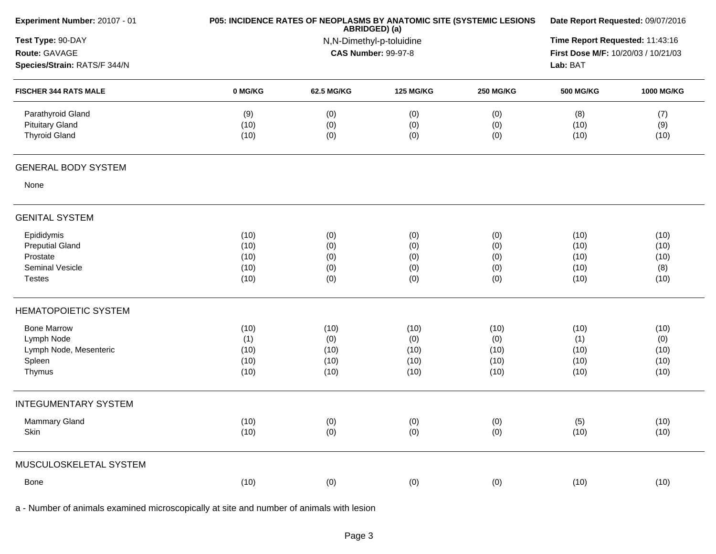| Experiment Number: 20107 - 01                                       | P05: INCIDENCE RATES OF NEOPLASMS BY ANATOMIC SITE (SYSTEMIC LESIONS | Date Report Requested: 09/07/2016                                       |                   |                   |                     |                    |
|---------------------------------------------------------------------|----------------------------------------------------------------------|-------------------------------------------------------------------------|-------------------|-------------------|---------------------|--------------------|
| Test Type: 90-DAY<br>Route: GAVAGE<br>Species/Strain: RATS/F 344/N  |                                                                      | ABRIDGED) (a)<br>N,N-Dimethyl-p-toluidine<br><b>CAS Number: 99-97-8</b> |                   |                   |                     |                    |
| <b>FISCHER 344 RATS MALE</b>                                        | 0 MG/KG                                                              | 62.5 MG/KG                                                              | <b>125 MG/KG</b>  | <b>250 MG/KG</b>  | <b>500 MG/KG</b>    | 1000 MG/KG         |
| Parathyroid Gland<br><b>Pituitary Gland</b><br><b>Thyroid Gland</b> | (9)<br>(10)<br>(10)                                                  | (0)<br>(0)<br>(0)                                                       | (0)<br>(0)<br>(0) | (0)<br>(0)<br>(0) | (8)<br>(10)<br>(10) | (7)<br>(9)<br>(10) |
| <b>GENERAL BODY SYSTEM</b>                                          |                                                                      |                                                                         |                   |                   |                     |                    |
| None                                                                |                                                                      |                                                                         |                   |                   |                     |                    |
| <b>GENITAL SYSTEM</b>                                               |                                                                      |                                                                         |                   |                   |                     |                    |
| Epididymis                                                          | (10)                                                                 | (0)                                                                     | (0)               | (0)               | (10)                | (10)               |
| <b>Preputial Gland</b>                                              | (10)                                                                 | (0)                                                                     | (0)               | (0)               | (10)                | (10)               |
| Prostate                                                            | (10)                                                                 | (0)                                                                     | (0)               | (0)               | (10)                | (10)               |
| Seminal Vesicle<br><b>Testes</b>                                    | (10)<br>(10)                                                         | (0)<br>(0)                                                              | (0)<br>(0)        | (0)<br>(0)        | (10)<br>(10)        | (8)<br>(10)        |
| <b>HEMATOPOIETIC SYSTEM</b>                                         |                                                                      |                                                                         |                   |                   |                     |                    |
| <b>Bone Marrow</b>                                                  | (10)                                                                 | (10)                                                                    | (10)              | (10)              | (10)                | (10)               |
| Lymph Node                                                          | (1)                                                                  | (0)                                                                     | (0)               | (0)               | (1)                 | (0)                |
| Lymph Node, Mesenteric                                              | (10)                                                                 | (10)                                                                    | (10)              | (10)              | (10)                | (10)               |
| Spleen                                                              | (10)                                                                 | (10)                                                                    | (10)              | (10)              | (10)                | (10)               |
| Thymus                                                              | (10)                                                                 | (10)                                                                    | (10)              | (10)              | (10)                | (10)               |
| <b>INTEGUMENTARY SYSTEM</b>                                         |                                                                      |                                                                         |                   |                   |                     |                    |
| Mammary Gland                                                       | (10)                                                                 | (0)                                                                     | (0)               | (0)               | (5)                 | (10)               |
| Skin                                                                | (10)                                                                 | (0)                                                                     | (0)               | (0)               | (10)                | (10)               |
| MUSCULOSKELETAL SYSTEM                                              |                                                                      |                                                                         |                   |                   |                     |                    |
| Bone                                                                | (10)                                                                 | (0)                                                                     | (0)               | (0)               | (10)                | (10)               |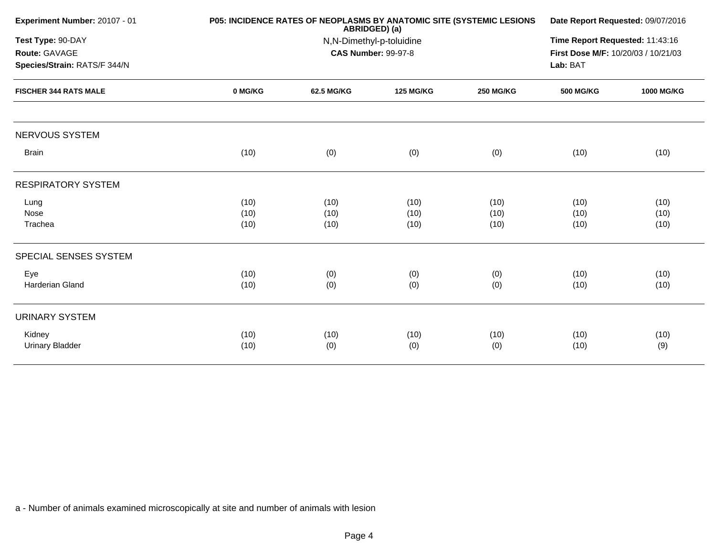| Experiment Number: 20107 - 01                                      |                      | <b>P05: INCIDENCE RATES OF NEOPLASMS BY ANATOMIC SITE (SYSTEMIC LESIONS)</b><br>ABRIDGED) (a)<br>N,N-Dimethyl-p-toluidine<br><b>CAS Number: 99-97-8</b> |                      |                      |                      |                      |
|--------------------------------------------------------------------|----------------------|---------------------------------------------------------------------------------------------------------------------------------------------------------|----------------------|----------------------|----------------------|----------------------|
| Test Type: 90-DAY<br>Route: GAVAGE<br>Species/Strain: RATS/F 344/N |                      |                                                                                                                                                         |                      |                      |                      |                      |
| <b>FISCHER 344 RATS MALE</b>                                       | 0 MG/KG              | 62.5 MG/KG                                                                                                                                              | <b>125 MG/KG</b>     | <b>250 MG/KG</b>     | <b>500 MG/KG</b>     | 1000 MG/KG           |
| <b>NERVOUS SYSTEM</b>                                              |                      |                                                                                                                                                         |                      |                      |                      |                      |
| <b>Brain</b>                                                       | (10)                 | (0)                                                                                                                                                     | (0)                  | (0)                  | (10)                 | (10)                 |
| <b>RESPIRATORY SYSTEM</b>                                          |                      |                                                                                                                                                         |                      |                      |                      |                      |
| Lung<br>Nose<br>Trachea                                            | (10)<br>(10)<br>(10) | (10)<br>(10)<br>(10)                                                                                                                                    | (10)<br>(10)<br>(10) | (10)<br>(10)<br>(10) | (10)<br>(10)<br>(10) | (10)<br>(10)<br>(10) |
| SPECIAL SENSES SYSTEM                                              |                      |                                                                                                                                                         |                      |                      |                      |                      |
| Eye<br>Harderian Gland                                             | (10)<br>(10)         | (0)<br>(0)                                                                                                                                              | (0)<br>(0)           | (0)<br>(0)           | (10)<br>(10)         | (10)<br>(10)         |
| <b>URINARY SYSTEM</b>                                              |                      |                                                                                                                                                         |                      |                      |                      |                      |
| Kidney<br><b>Urinary Bladder</b>                                   | (10)<br>(10)         | (10)<br>(0)                                                                                                                                             | (10)<br>(0)          | (10)<br>(0)          | (10)<br>(10)         | (10)<br>(9)          |
|                                                                    |                      |                                                                                                                                                         |                      |                      |                      |                      |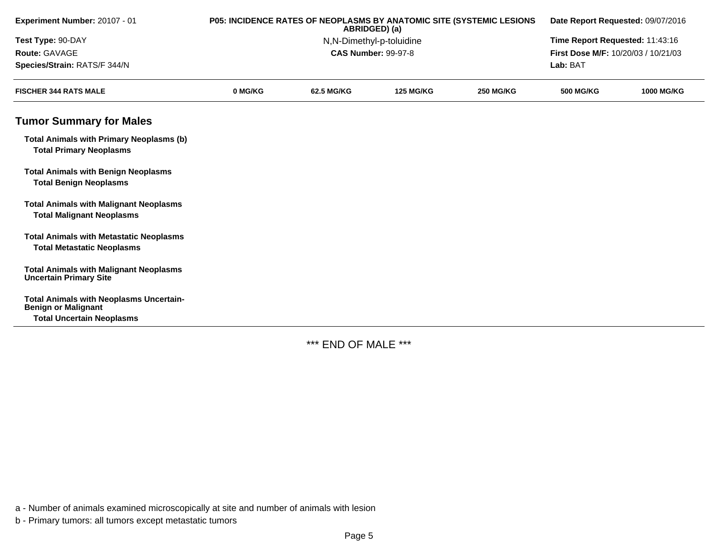| Experiment Number: 20107 - 01                                                       | P05: INCIDENCE RATES OF NEOPLASMS BY ANATOMIC SITE (SYSTEMIC LESIONS<br>ABRIDGED) (a) |            |                            | Date Report Requested: 09/07/2016 |                                     |                   |  |
|-------------------------------------------------------------------------------------|---------------------------------------------------------------------------------------|------------|----------------------------|-----------------------------------|-------------------------------------|-------------------|--|
| Test Type: 90-DAY                                                                   |                                                                                       |            | N,N-Dimethyl-p-toluidine   |                                   | Time Report Requested: 11:43:16     |                   |  |
| Route: GAVAGE                                                                       |                                                                                       |            | <b>CAS Number: 99-97-8</b> |                                   | First Dose M/F: 10/20/03 / 10/21/03 |                   |  |
| Species/Strain: RATS/F 344/N                                                        |                                                                                       |            |                            |                                   | Lab: BAT                            |                   |  |
| <b>FISCHER 344 RATS MALE</b>                                                        | 0 MG/KG                                                                               | 62.5 MG/KG | <b>125 MG/KG</b>           | <b>250 MG/KG</b>                  | <b>500 MG/KG</b>                    | <b>1000 MG/KG</b> |  |
| <b>Tumor Summary for Males</b>                                                      |                                                                                       |            |                            |                                   |                                     |                   |  |
| <b>Total Animals with Primary Neoplasms (b)</b><br><b>Total Primary Neoplasms</b>   |                                                                                       |            |                            |                                   |                                     |                   |  |
| <b>Total Animals with Benign Neoplasms</b><br><b>Total Benign Neoplasms</b>         |                                                                                       |            |                            |                                   |                                     |                   |  |
| <b>Total Animals with Malignant Neoplasms</b><br><b>Total Malignant Neoplasms</b>   |                                                                                       |            |                            |                                   |                                     |                   |  |
| <b>Total Animals with Metastatic Neoplasms</b><br><b>Total Metastatic Neoplasms</b> |                                                                                       |            |                            |                                   |                                     |                   |  |
| <b>Total Animals with Malignant Neoplasms</b><br><b>Uncertain Primary Site</b>      |                                                                                       |            |                            |                                   |                                     |                   |  |
| <b>Total Animals with Neoplasms Uncertain-</b><br><b>Benign or Malignant</b>        |                                                                                       |            |                            |                                   |                                     |                   |  |
| <b>Total Uncertain Neoplasms</b>                                                    |                                                                                       |            |                            |                                   |                                     |                   |  |

\*\*\* END OF MALE \*\*\*

a - Number of animals examined microscopically at site and number of animals with lesion

b - Primary tumors: all tumors except metastatic tumors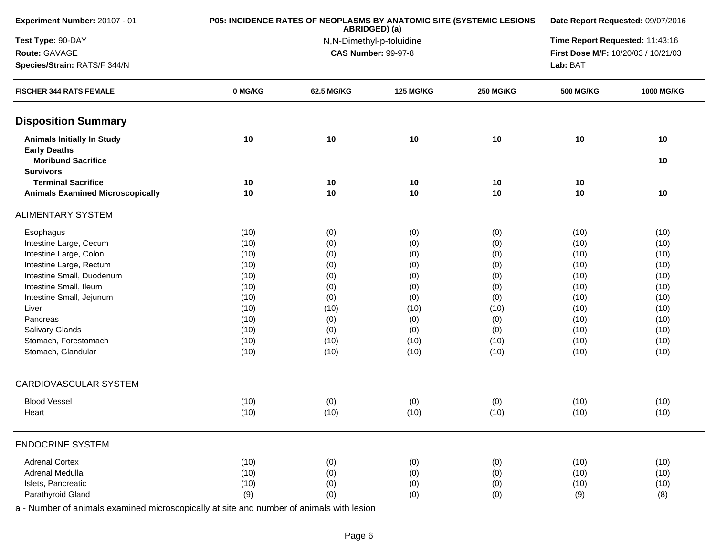| Experiment Number: 20107 - 01                                                         |         | P05: INCIDENCE RATES OF NEOPLASMS BY ANATOMIC SITE (SYSTEMIC LESIONS<br>ABRIDGED) (a) | Date Report Requested: 09/07/2016<br>Time Report Requested: 11:43:16 |                  |                                     |                   |
|---------------------------------------------------------------------------------------|---------|---------------------------------------------------------------------------------------|----------------------------------------------------------------------|------------------|-------------------------------------|-------------------|
| Test Type: 90-DAY                                                                     |         | N,N-Dimethyl-p-toluidine                                                              |                                                                      |                  |                                     |                   |
| Route: GAVAGE                                                                         |         |                                                                                       | <b>CAS Number: 99-97-8</b>                                           |                  | First Dose M/F: 10/20/03 / 10/21/03 |                   |
| Species/Strain: RATS/F 344/N                                                          |         |                                                                                       |                                                                      |                  | Lab: BAT                            |                   |
| <b>FISCHER 344 RATS FEMALE</b>                                                        | 0 MG/KG | 62.5 MG/KG                                                                            | <b>125 MG/KG</b>                                                     | <b>250 MG/KG</b> | <b>500 MG/KG</b>                    | <b>1000 MG/KG</b> |
| <b>Disposition Summary</b>                                                            |         |                                                                                       |                                                                      |                  |                                     |                   |
| <b>Animals Initially In Study</b><br><b>Early Deaths</b><br><b>Moribund Sacrifice</b> | 10      | 10                                                                                    | 10                                                                   | 10               | $10$                                | 10<br>10          |
| <b>Survivors</b>                                                                      |         |                                                                                       |                                                                      |                  |                                     |                   |
| <b>Terminal Sacrifice</b>                                                             | 10      | 10                                                                                    | 10                                                                   | 10               | 10                                  |                   |
| <b>Animals Examined Microscopically</b>                                               | 10      | 10                                                                                    | 10                                                                   | 10               | 10                                  | 10                |
| <b>ALIMENTARY SYSTEM</b>                                                              |         |                                                                                       |                                                                      |                  |                                     |                   |
| Esophagus                                                                             | (10)    | (0)                                                                                   | (0)                                                                  | (0)              | (10)                                | (10)              |
| Intestine Large, Cecum                                                                | (10)    | (0)                                                                                   | (0)                                                                  | (0)              | (10)                                | (10)              |
| Intestine Large, Colon                                                                | (10)    | (0)                                                                                   | (0)                                                                  | (0)              | (10)                                | (10)              |
| Intestine Large, Rectum                                                               | (10)    | (0)                                                                                   | (0)                                                                  | (0)              | (10)                                | (10)              |
| Intestine Small, Duodenum                                                             | (10)    | (0)                                                                                   | (0)                                                                  | (0)              | (10)                                | (10)              |
| Intestine Small, Ileum                                                                | (10)    | (0)                                                                                   | (0)                                                                  | (0)              | (10)                                | (10)              |
| Intestine Small, Jejunum                                                              | (10)    | (0)                                                                                   | (0)                                                                  | (0)              | (10)                                | (10)              |
| Liver                                                                                 | (10)    | (10)                                                                                  | (10)                                                                 | (10)             | (10)                                | (10)              |
| Pancreas                                                                              | (10)    | (0)                                                                                   | (0)                                                                  | (0)              | (10)                                | (10)              |
| <b>Salivary Glands</b>                                                                | (10)    | (0)                                                                                   | (0)                                                                  | (0)              | (10)                                | (10)              |
| Stomach, Forestomach                                                                  | (10)    | (10)                                                                                  | (10)                                                                 | (10)             | (10)                                | (10)              |
| Stomach, Glandular                                                                    | (10)    | (10)                                                                                  | (10)                                                                 | (10)             | (10)                                | (10)              |
| CARDIOVASCULAR SYSTEM                                                                 |         |                                                                                       |                                                                      |                  |                                     |                   |
| <b>Blood Vessel</b>                                                                   | (10)    | (0)                                                                                   | (0)                                                                  | (0)              | (10)                                | (10)              |
| Heart                                                                                 | (10)    | (10)                                                                                  | (10)                                                                 | (10)             | (10)                                | (10)              |
| <b>ENDOCRINE SYSTEM</b>                                                               |         |                                                                                       |                                                                      |                  |                                     |                   |
| <b>Adrenal Cortex</b>                                                                 | (10)    | (0)                                                                                   | (0)                                                                  | (0)              | (10)                                | (10)              |
| Adrenal Medulla                                                                       | (10)    | (0)                                                                                   | (0)                                                                  | (0)              | (10)                                | (10)              |
| Islets, Pancreatic                                                                    | (10)    | (0)                                                                                   | (0)                                                                  | (0)              | (10)                                | (10)              |
| Parathyroid Gland                                                                     | (9)     | (0)                                                                                   | (0)                                                                  | (0)              | (9)                                 | (8)               |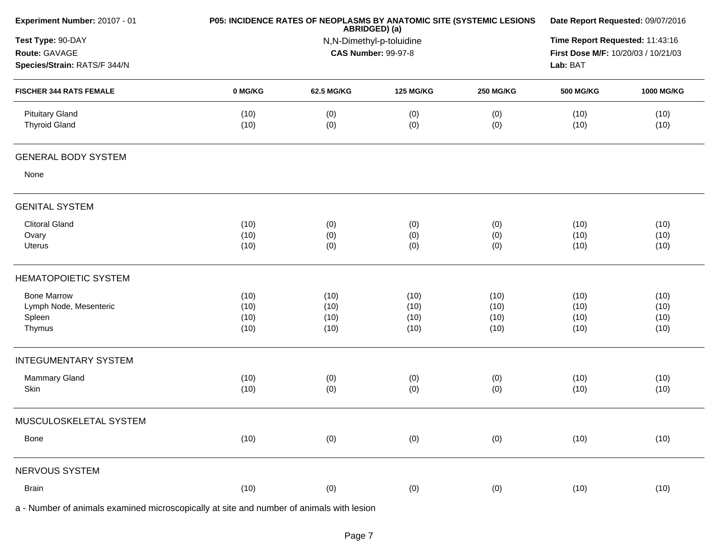| Experiment Number: 20107 - 01                                      |              | P05: INCIDENCE RATES OF NEOPLASMS BY ANATOMIC SITE (SYSTEMIC LESIONS<br>ABRIDGED) (a) | Date Report Requested: 09/07/2016<br>Time Report Requested: 11:43:16<br>First Dose M/F: 10/20/03 / 10/21/03<br>Lab: BAT |                  |                  |              |
|--------------------------------------------------------------------|--------------|---------------------------------------------------------------------------------------|-------------------------------------------------------------------------------------------------------------------------|------------------|------------------|--------------|
| Test Type: 90-DAY<br>Route: GAVAGE<br>Species/Strain: RATS/F 344/N |              | N,N-Dimethyl-p-toluidine<br><b>CAS Number: 99-97-8</b>                                |                                                                                                                         |                  |                  |              |
|                                                                    |              |                                                                                       |                                                                                                                         |                  |                  |              |
| <b>FISCHER 344 RATS FEMALE</b>                                     | 0 MG/KG      | 62.5 MG/KG                                                                            | <b>125 MG/KG</b>                                                                                                        | <b>250 MG/KG</b> | <b>500 MG/KG</b> | 1000 MG/KG   |
| <b>Pituitary Gland</b><br><b>Thyroid Gland</b>                     | (10)<br>(10) | (0)<br>(0)                                                                            | (0)<br>(0)                                                                                                              | (0)<br>(0)       | (10)<br>(10)     | (10)<br>(10) |
| <b>GENERAL BODY SYSTEM</b>                                         |              |                                                                                       |                                                                                                                         |                  |                  |              |
| None                                                               |              |                                                                                       |                                                                                                                         |                  |                  |              |
| <b>GENITAL SYSTEM</b>                                              |              |                                                                                       |                                                                                                                         |                  |                  |              |
| <b>Clitoral Gland</b>                                              | (10)         | (0)                                                                                   | (0)                                                                                                                     | (0)              | (10)             | (10)         |
| Ovary                                                              | (10)         | (0)                                                                                   | (0)                                                                                                                     | (0)              | (10)             | (10)         |
| Uterus                                                             | (10)         | (0)                                                                                   | (0)                                                                                                                     | (0)              | (10)             | (10)         |
| <b>HEMATOPOIETIC SYSTEM</b>                                        |              |                                                                                       |                                                                                                                         |                  |                  |              |
| <b>Bone Marrow</b>                                                 | (10)         | (10)                                                                                  | (10)                                                                                                                    | (10)             | (10)             | (10)         |
| Lymph Node, Mesenteric                                             | (10)         | (10)                                                                                  | (10)                                                                                                                    | (10)             | (10)             | (10)         |
| Spleen<br>Thymus                                                   | (10)<br>(10) | (10)<br>(10)                                                                          | (10)<br>(10)                                                                                                            | (10)<br>(10)     | (10)<br>(10)     | (10)<br>(10) |
|                                                                    |              |                                                                                       |                                                                                                                         |                  |                  |              |
| <b>INTEGUMENTARY SYSTEM</b>                                        |              |                                                                                       |                                                                                                                         |                  |                  |              |
| Mammary Gland                                                      | (10)         | (0)                                                                                   | (0)                                                                                                                     | (0)              | (10)             | (10)         |
| Skin                                                               | (10)         | (0)                                                                                   | (0)                                                                                                                     | (0)              | (10)             | (10)         |
| MUSCULOSKELETAL SYSTEM                                             |              |                                                                                       |                                                                                                                         |                  |                  |              |
| Bone                                                               | (10)         | (0)                                                                                   | (0)                                                                                                                     | (0)              | (10)             | (10)         |
| NERVOUS SYSTEM                                                     |              |                                                                                       |                                                                                                                         |                  |                  |              |
| Brain                                                              | (10)         | (0)                                                                                   | (0)                                                                                                                     | (0)              | (10)             | (10)         |
|                                                                    |              |                                                                                       |                                                                                                                         |                  |                  |              |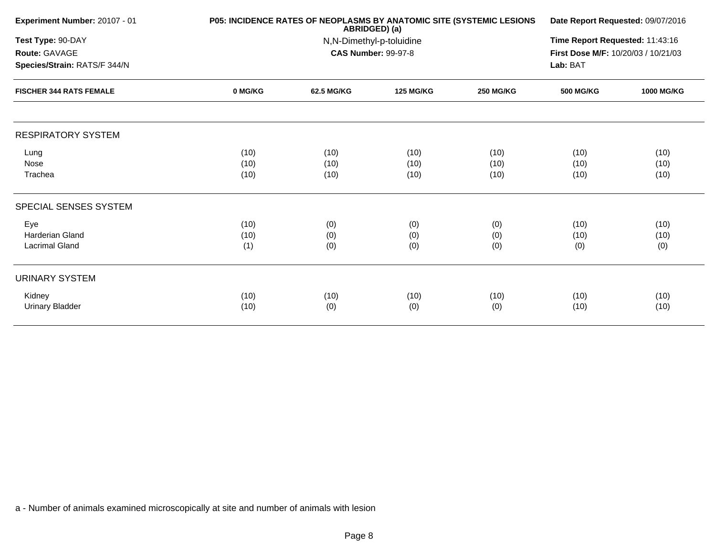| Experiment Number: 20107 - 01  |         | P05: INCIDENCE RATES OF NEOPLASMS BY ANATOMIC SITE (SYSTEMIC LESIONS<br>ABRIDGED) (a) |                            |                  |                                     |                   |  |
|--------------------------------|---------|---------------------------------------------------------------------------------------|----------------------------|------------------|-------------------------------------|-------------------|--|
| Test Type: 90-DAY              |         | N,N-Dimethyl-p-toluidine                                                              |                            |                  |                                     |                   |  |
| Route: GAVAGE                  |         |                                                                                       | <b>CAS Number: 99-97-8</b> |                  | First Dose M/F: 10/20/03 / 10/21/03 |                   |  |
| Species/Strain: RATS/F 344/N   |         |                                                                                       |                            |                  | Lab: BAT                            |                   |  |
| <b>FISCHER 344 RATS FEMALE</b> | 0 MG/KG | 62.5 MG/KG                                                                            | <b>125 MG/KG</b>           | <b>250 MG/KG</b> | <b>500 MG/KG</b>                    | <b>1000 MG/KG</b> |  |
| <b>RESPIRATORY SYSTEM</b>      |         |                                                                                       |                            |                  |                                     |                   |  |
| Lung                           | (10)    | (10)                                                                                  | (10)                       | (10)             | (10)                                | (10)              |  |
| Nose                           | (10)    | (10)                                                                                  | (10)                       | (10)             | (10)                                | (10)              |  |
| Trachea                        | (10)    | (10)                                                                                  | (10)                       | (10)             | (10)                                | (10)              |  |
| SPECIAL SENSES SYSTEM          |         |                                                                                       |                            |                  |                                     |                   |  |
| Eye                            | (10)    | (0)                                                                                   | (0)                        | (0)              | (10)                                | (10)              |  |
| <b>Harderian Gland</b>         | (10)    | (0)                                                                                   | (0)                        | (0)              | (10)                                | (10)              |  |
| <b>Lacrimal Gland</b>          | (1)     | (0)                                                                                   | (0)                        | (0)              | (0)                                 | (0)               |  |
| <b>URINARY SYSTEM</b>          |         |                                                                                       |                            |                  |                                     |                   |  |
| Kidney                         | (10)    | (10)                                                                                  | (10)                       | (10)             | (10)                                | (10)              |  |
| <b>Urinary Bladder</b>         | (10)    | (0)                                                                                   | (0)                        | (0)              | (10)                                | (10)              |  |
|                                |         |                                                                                       |                            |                  |                                     |                   |  |